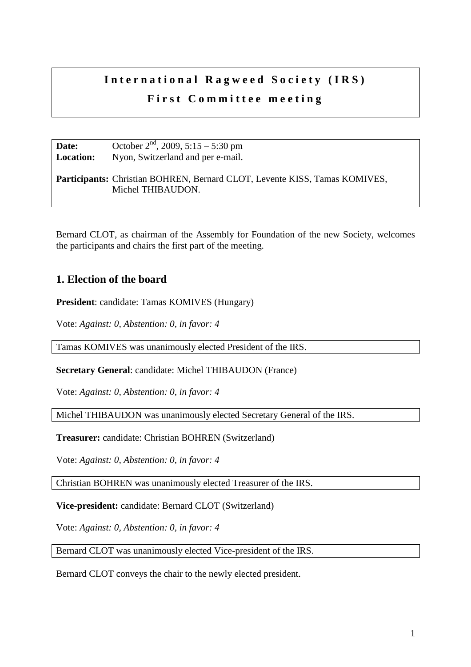## International Ragweed Society (IRS) **First Committee meeting**

| Date:            | October $2nd$ , 2009, 5:15 – 5:30 pm                                                                   |
|------------------|--------------------------------------------------------------------------------------------------------|
| <b>Location:</b> | Nyon, Switzerland and per e-mail.                                                                      |
|                  | <b>Participants:</b> Christian BOHREN, Bernard CLOT, Levente KISS, Tamas KOMIVES,<br>Michel THIBAUDON. |

Bernard CLOT, as chairman of the Assembly for Foundation of the new Society, welcomes the participants and chairs the first part of the meeting.

## **1. Election of the board**

**President**: candidate: Tamas KOMIVES (Hungary)

Vote: *Against: 0, Abstention: 0, in favor: 4* 

Tamas KOMIVES was unanimously elected President of the IRS.

**Secretary General**: candidate: Michel THIBAUDON (France)

Vote: *Against: 0, Abstention: 0, in favor: 4* 

Michel THIBAUDON was unanimously elected Secretary General of the IRS.

**Treasurer:** candidate: Christian BOHREN (Switzerland)

Vote: *Against: 0, Abstention: 0, in favor: 4* 

Christian BOHREN was unanimously elected Treasurer of the IRS.

**Vice-president:** candidate: Bernard CLOT (Switzerland)

Vote: *Against: 0, Abstention: 0, in favor: 4* 

Bernard CLOT was unanimously elected Vice-president of the IRS.

Bernard CLOT conveys the chair to the newly elected president.